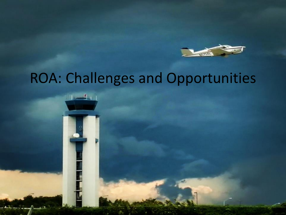

#### ROA: Challenges and Opportunities

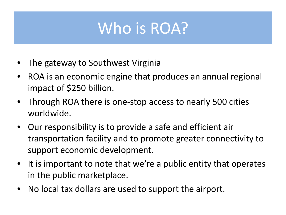### Who is ROA?

- The gateway to Southwest Virginia
- ROA is an economic engine that produces an annual regional impact of \$250 billion.
- Through ROA there is one-stop access to nearly 500 cities worldwide.
- Our responsibility is to provide a safe and efficient air transportation facility and to promote greater connectivity to support economic development.
- It is important to note that we're a public entity that operates in the public marketplace.
- No local tax dollars are used to support the airport.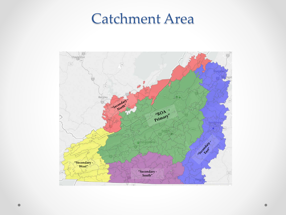#### Catchment Area

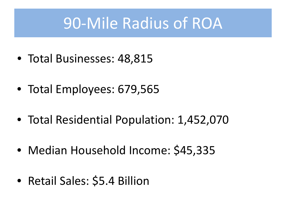### 90-Mile Radius of ROA

- Total Businesses: 48,815
- Total Employees: 679,565
- Total Residential Population: 1,452,070
- Median Household Income: \$45,335
- Retail Sales: \$5.4 Billion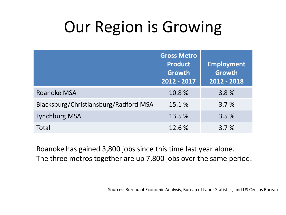### Our Region is Growing

|                                       | <b>Gross Metro</b><br><b>Product</b><br><b>Growth</b><br>2012 - 2017 | <b>Employment</b><br><b>Growth</b><br>2012 - 2018 |
|---------------------------------------|----------------------------------------------------------------------|---------------------------------------------------|
| Roanoke MSA                           | 10.8%                                                                | 3.8%                                              |
| Blacksburg/Christiansburg/Radford MSA | 15.1 %                                                               | 3.7%                                              |
| Lynchburg MSA                         | 13.5 %                                                               | 3.5%                                              |
| Total                                 | 12.6 %                                                               | 3.7%                                              |

Roanoke has gained 3,800 jobs since this time last year alone. The three metros together are up 7,800 jobs over the same period.

Sources: Bureau of Economic Analysis, Bureau of Labor Statistics, and US Census Bureau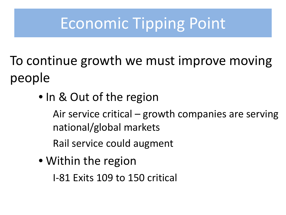### Economic Tipping Point

To continue growth we must improve moving people

• In & Out of the region

Air service critical – growth companies are serving national/global markets

Rail service could augment

• Within the region

I-81 Exits 109 to 150 critical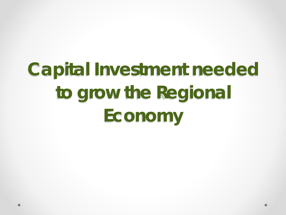# **Capital Investment needed to grow the Regional Economy**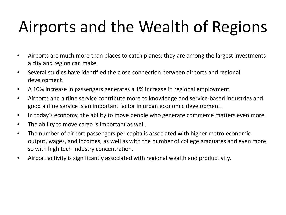## Airports and the Wealth of Regions

- Airports are much more than places to catch planes; they are among the largest investments a city and region can make.
- Several studies have identified the close connection between airports and regional development.
- A 10% increase in passengers generates a 1% increase in regional employment
- Airports and airline service contribute more to knowledge and service-based industries and good airline service is an important factor in urban economic development.
- In today's economy, the ability to move people who generate commerce matters even more.
- The ability to move cargo is important as well.
- The number of airport passengers per capita is associated with higher metro economic output, wages, and incomes, as well as with the number of college graduates and even more so with high tech industry concentration.
- Airport activity is significantly associated with regional wealth and productivity.